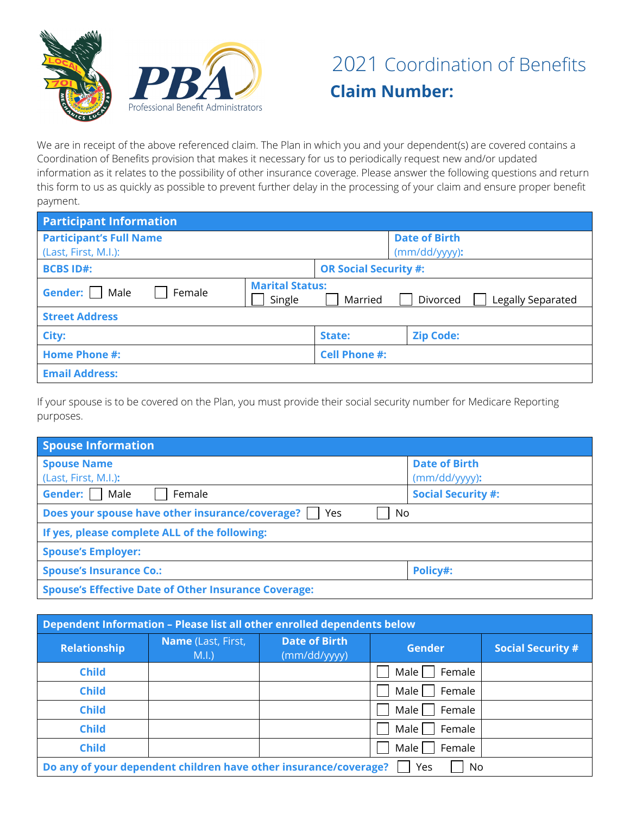

We are in receipt of the above referenced claim. The Plan in which you and your dependent(s) are covered contains a Coordination of Benefits provision that makes it necessary for us to periodically request new and/or updated information as it relates to the possibility of other insurance coverage. Please answer the following questions and return this form to us as quickly as possible to prevent further delay in the processing of your claim and ensure proper benefit payment.

| <b>Participant Information</b> |                                  |                              |                               |  |
|--------------------------------|----------------------------------|------------------------------|-------------------------------|--|
| <b>Participant's Full Name</b> |                                  |                              | <b>Date of Birth</b>          |  |
| (Last, First, M.I.):           |                                  |                              | (mm/dd/yyyy):                 |  |
| <b>BCBS ID#:</b>               |                                  | <b>OR Social Security #:</b> |                               |  |
| Gender:  <br>Male<br>Female    | <b>Marital Status:</b><br>Single | Married                      | Divorced<br>Legally Separated |  |
| <b>Street Address</b>          |                                  |                              |                               |  |
| City:                          |                                  | State:                       | <b>Zip Code:</b>              |  |
| <b>Home Phone #:</b>           |                                  | <b>Cell Phone #:</b>         |                               |  |
| <b>Email Address:</b>          |                                  |                              |                               |  |

If your spouse is to be covered on the Plan, you must provide their social security number for Medicare Reporting purposes.

| Spouse Information                                           |                      |  |  |
|--------------------------------------------------------------|----------------------|--|--|
| <b>Spouse Name</b>                                           | <b>Date of Birth</b> |  |  |
| (Last, First, M.I.):                                         | $(mm/dd/yyy)$ :      |  |  |
| Gender:<br><b>Social Security #:</b><br>Male<br>Female       |                      |  |  |
| Does your spouse have other insurance/coverage?<br>No<br>Yes |                      |  |  |
| If yes, please complete ALL of the following:                |                      |  |  |
| <b>Spouse's Employer:</b>                                    |                      |  |  |
| <b>Spouse's Insurance Co.:</b>                               | Policy#:             |  |  |
| <b>Spouse's Effective Date of Other Insurance Coverage:</b>  |                      |  |  |

| Dependent Information - Please list all other enrolled dependents below       |                            |                                      |                  |                          |
|-------------------------------------------------------------------------------|----------------------------|--------------------------------------|------------------|--------------------------|
| <b>Relationship</b>                                                           | Name (Last, First,<br>M.I. | <b>Date of Birth</b><br>(mm/dd/yyyy) | <b>Gender</b>    | <b>Social Security #</b> |
| <b>Child</b>                                                                  |                            |                                      | Male  <br>Female |                          |
| <b>Child</b>                                                                  |                            |                                      | Male  <br>Female |                          |
| <b>Child</b>                                                                  |                            |                                      | Male  <br>Female |                          |
| <b>Child</b>                                                                  |                            |                                      | Male  <br>Female |                          |
| <b>Child</b>                                                                  |                            |                                      | Male  <br>Female |                          |
| Do any of your dependent children have other insurance/coverage?<br>Yes<br>No |                            |                                      |                  |                          |